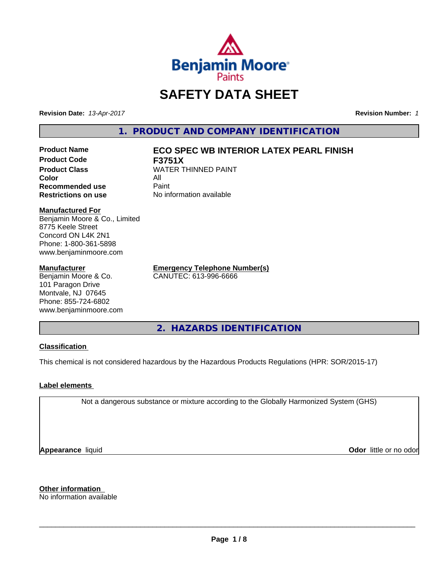

# **SAFETY DATA SHEET**

**Revision Date:** *13-Apr-2017* **Revision Number:** *1*

**1. PRODUCT AND COMPANY IDENTIFICATION**

**Product Name ECO SPEC WB INTERIOR LATEX PEARL FINISH Product Code F3751X Color** All All<br>**Recommended use** Paint **Recommended use** 

# **Product Class WATER THINNED PAINT**

**Restrictions on use** No information available

#### **Manufactured For**

Benjamin Moore & Co., Limited 8775 Keele Street Concord ON L4K 2N1 Phone: 1-800-361-5898 www.benjaminmoore.com

#### **Manufacturer**

Benjamin Moore & Co. 101 Paragon Drive Montvale, NJ 07645 Phone: 855-724-6802 www.benjaminmoore.com

**Emergency Telephone Number(s)** CANUTEC: 613-996-6666

**2. HAZARDS IDENTIFICATION**

#### **Classification**

This chemical is not considered hazardous by the Hazardous Products Regulations (HPR: SOR/2015-17)

#### **Label elements**

Not a dangerous substance or mixture according to the Globally Harmonized System (GHS)

**Appearance** liquid

**Odor** little or no odor

**Other information** No information available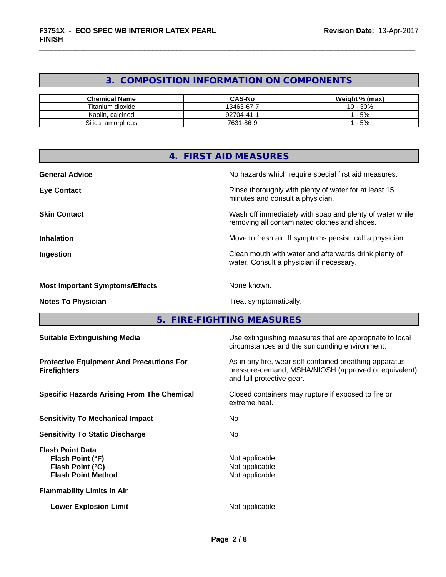### **3. COMPOSITION INFORMATION ON COMPONENTS**

| <b>Chemical Name</b>   | <b>CAS-No</b> | Weight % (max)  |
|------------------------|---------------|-----------------|
| Titanium dioxide       | 13463-67-7    | 30%<br>$10 -$ . |
| Kaolin, calcined       | 92704-41-1    | - 5%            |
| Silica.<br>. amorphous | 7631-86-9     | $-5%$           |

| 4.                                                                                           | <b>FIRST AID MEASURES</b>                                                                                                                    |
|----------------------------------------------------------------------------------------------|----------------------------------------------------------------------------------------------------------------------------------------------|
| <b>General Advice</b>                                                                        | No hazards which require special first aid measures.                                                                                         |
| <b>Eye Contact</b>                                                                           | Rinse thoroughly with plenty of water for at least 15<br>minutes and consult a physician.                                                    |
| <b>Skin Contact</b>                                                                          | Wash off immediately with soap and plenty of water while<br>removing all contaminated clothes and shoes.                                     |
| <b>Inhalation</b>                                                                            | Move to fresh air. If symptoms persist, call a physician.                                                                                    |
| Ingestion                                                                                    | Clean mouth with water and afterwards drink plenty of<br>water. Consult a physician if necessary.                                            |
| <b>Most Important Symptoms/Effects</b>                                                       | None known.                                                                                                                                  |
| <b>Notes To Physician</b>                                                                    | Treat symptomatically.                                                                                                                       |
|                                                                                              | 5. FIRE-FIGHTING MEASURES                                                                                                                    |
| <b>Suitable Extinguishing Media</b>                                                          | Use extinguishing measures that are appropriate to local<br>circumstances and the surrounding environment.                                   |
| <b>Protective Equipment And Precautions For</b><br><b>Firefighters</b>                       | As in any fire, wear self-contained breathing apparatus<br>pressure-demand, MSHA/NIOSH (approved or equivalent)<br>and full protective gear. |
| <b>Specific Hazards Arising From The Chemical</b>                                            | Closed containers may rupture if exposed to fire or<br>extreme heat.                                                                         |
| <b>Sensitivity To Mechanical Impact</b>                                                      | No                                                                                                                                           |
| <b>Sensitivity To Static Discharge</b>                                                       | No.                                                                                                                                          |
| <b>Flash Point Data</b><br>Flash Point (°F)<br>Flash Point (°C)<br><b>Flash Point Method</b> | Not applicable<br>Not applicable<br>Not applicable                                                                                           |
| <b>Flammability Limits In Air</b>                                                            |                                                                                                                                              |
| <b>Lower Explosion Limit</b>                                                                 | Not applicable                                                                                                                               |
|                                                                                              |                                                                                                                                              |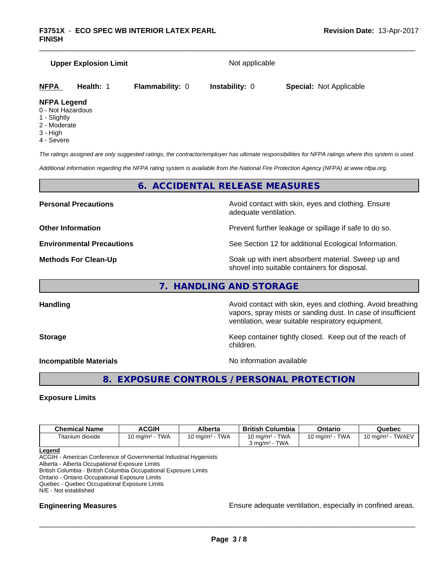## **Upper Explosion Limit** Not applicable **NFPA Health:** 1 **Flammability:** 0 **Instability:** 0 **Special:** Not Applicable **NFPA Legend** 0 - Not Hazardous

- 1 Slightly
- 2 Moderate
- 3 High
- 4 Severe

*The ratings assigned are only suggested ratings, the contractor/employer has ultimate responsibilities for NFPA ratings where this system is used.*

*Additional information regarding the NFPA rating system is available from the National Fire Protection Agency (NFPA) at www.nfpa.org.*

#### **6. ACCIDENTAL RELEASE MEASURES**

**Personal Precautions Precautions** Avoid contact with skin, eyes and clothing. Ensure adequate ventilation.

**Other Information Other Information Prevent further leakage or spillage if safe to do so.** 

**Environmental Precautions** See Section 12 for additional Ecological Information.

**Methods For Clean-Up Example 20 All 20 All 20 All 20 Soak up with inert absorbent material. Sweep up and** shovel into suitable containers for disposal.

#### **7. HANDLING AND STORAGE**

Handling **Handling Handling Avoid contact with skin, eyes and clothing. Avoid breathing Handling A** vapors, spray mists or sanding dust. In case of insufficient ventilation, wear suitable respiratory equipment.

**Storage Keep container tightly closed. Keep out of the reach of Keep** container tightly closed. Keep out of the reach of children.

**Incompatible Materials Incompatible Materials** 

 $\overline{\phantom{a}}$  ,  $\overline{\phantom{a}}$  ,  $\overline{\phantom{a}}$  ,  $\overline{\phantom{a}}$  ,  $\overline{\phantom{a}}$  ,  $\overline{\phantom{a}}$  ,  $\overline{\phantom{a}}$  ,  $\overline{\phantom{a}}$  ,  $\overline{\phantom{a}}$  ,  $\overline{\phantom{a}}$  ,  $\overline{\phantom{a}}$  ,  $\overline{\phantom{a}}$  ,  $\overline{\phantom{a}}$  ,  $\overline{\phantom{a}}$  ,  $\overline{\phantom{a}}$  ,  $\overline{\phantom{a}}$ 

#### **8. EXPOSURE CONTROLS / PERSONAL PROTECTION**

#### **Exposure Limits**

| <b>Chemical Name</b> | ACGIH                             | Alberta                           | <b>British Columbia</b>            | Ontario                           | Quebec                                |
|----------------------|-----------------------------------|-----------------------------------|------------------------------------|-----------------------------------|---------------------------------------|
| Titanium dioxide     | <b>TWA</b><br>$10 \text{ ma/m}^3$ | <b>TWA</b><br>$.0 \text{ mg/m}^3$ | <b>TWA</b><br>$10 \text{ mg/m}^3$  | <b>TWA</b><br>$10 \text{ ma/m}^3$ | <b>TWAEV</b><br>$0 \ \mathrm{ma/m^3}$ |
|                      |                                   |                                   | <b>TWA</b><br>$3 \text{ ma/m}^3$ - |                                   |                                       |

**Legend**

ACGIH - American Conference of Governmental Industrial Hygienists

Alberta - Alberta Occupational Exposure Limits

British Columbia - British Columbia Occupational Exposure Limits

Ontario - Ontario Occupational Exposure Limits

Quebec - Quebec Occupational Exposure Limits

N/E - Not established

**Engineering Measures Ensure** Ensure adequate ventilation, especially in confined areas.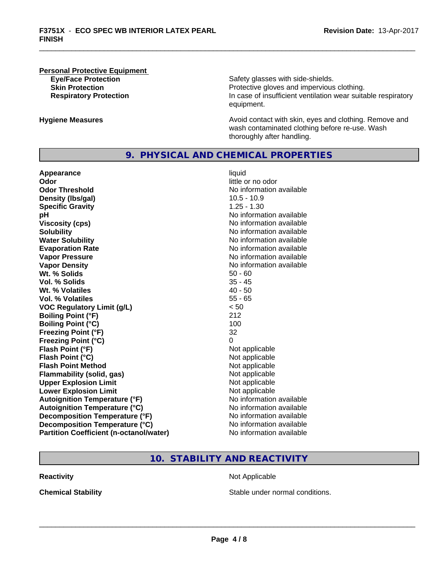### **Personal Protective Equipment**

**Eye/Face Protection Safety glasses with side-shields. Skin Protection Protection Protective gloves and impervious clothing. Respiratory Protection In case of insufficient ventilation wear suitable respiratory** equipment.

**Hygiene Measures Avoid contact with skin, eyes and clothing. Remove and Avoid contact with skin, eyes and clothing. Remove and Avoid contact with skin, eyes and clothing. Remove and** wash contaminated clothing before re-use. Wash thoroughly after handling.

#### **9. PHYSICAL AND CHEMICAL PROPERTIES**

**Appearance** liquid **Odor** little or no odor **Odor Threshold No information available No information available Density (lbs/gal)** 10.5 - 10.9 **Specific Gravity** 1.25 - 1.30 **pH pH**  $\blacksquare$ **Viscosity (cps)** No information available **Solubility No information available No information available Water Solubility No information available No information available Evaporation Rate No information available No information available Vapor Pressure** No information available **Vapor Density No information available No information available Wt. % Solids** 50 - 60<br> **Vol. % Solids** 35 - 45 **Vol. % Solids Wt.** % Volatiles 40 - 50 **Vol. % Volatiles** 55 - 65 **VOC Regulatory Limit (g/L)** < 50 **Boiling Point (°F)** 212 **Boiling Point**  $(^{\circ}C)$  100 **Freezing Point (°F)** 32 **Freezing Point (°C)** 0 **Flash Point (°F)**<br> **Flash Point (°C)**<br> **Flash Point (°C)**<br> **C** Not applicable **Flash Point (°C) Flash Point Method Not applicable Not applicable Flammability (solid, gas)** Not applicable **Upper Explosion Limit** Not applicable **Lower Explosion Limit**  $\qquad \qquad$  Not applicable **Autoignition Temperature (°F)** No information available **Autoignition Temperature (°C)** No information available **Decomposition Temperature (°F)** No information available **Decomposition Temperature (°C)** No information available **Partition Coefficient (n-octanol/water)** No information available

## **10. STABILITY AND REACTIVITY**

**Reactivity Not Applicable Not Applicable** 

**Chemical Stability Stable under normal conditions.**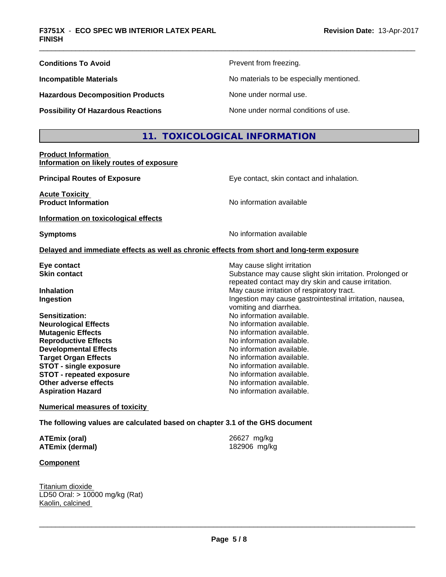| <b>Conditions To Avoid</b>                | Prevent from freezing.                   |
|-------------------------------------------|------------------------------------------|
| <b>Incompatible Materials</b>             | No materials to be especially mentioned. |
| <b>Hazardous Decomposition Products</b>   | None under normal use.                   |
| <b>Possibility Of Hazardous Reactions</b> | None under normal conditions of use.     |

#### **11. TOXICOLOGICAL INFORMATION**

#### **Product Information Information on likely routes of exposure**

**Principal Routes of Exposure Exposure** Eye contact, skin contact and inhalation.

**Acute Toxicity Product Information** and **Product Information No information available** 

**Information on toxicological effects**

**Symptoms** No information available

vomiting and diarrhea.

Substance may cause slight skin irritation. Prolonged or repeated contact may dry skin and cause irritation.

#### **Delayed and immediate effects as well as chronic effects from short and long-term exposure**

**Eye contact Execution Skin contact** May cause slight irritation<br> **Skin contact** Contact Contact Contact Contact Contact Contact Contact Contact Contact Contact Contact Contact Conta

**Inhalation** May cause irritation of respiratory tract. **Ingestion Ingestion Ingestion may cause gastrointestinal irritation, nausea,** 

**Sensitization:** No information available.<br> **No information available.**<br>
No information available. **Neurological Effects Mutagenic Effects** No information available. **Reproductive Effects**<br> **Reproductive Effects**<br> **Developmental Effects**<br> **No information available. Developmental Effects Target Organ Effects No information available. STOT** - single exposure **No information available. STOT** - **repeated exposure** No information available. **Other adverse effects** No information available. **Aspiration Hazard Aspiration Hazard No information available.** 

**Numerical measures of toxicity**

**The following values are calculated based on chapter 3.1 of the GHS document**

**ATEmix (oral)** 26627 mg/kg **ATEmix (dermal)** 182906 mg/kg

**Component**

Titanium dioxide LD50 Oral: > 10000 mg/kg (Rat) Kaolin, calcined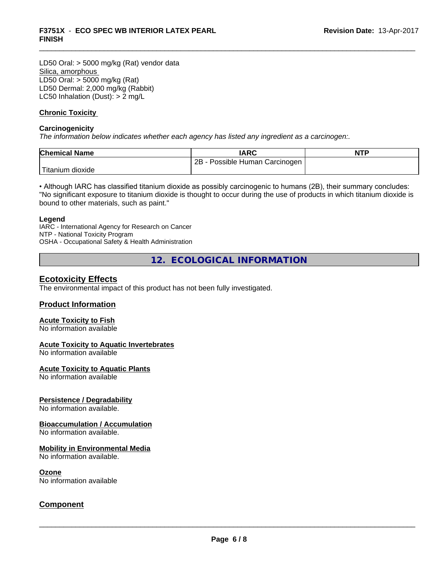LD50 Oral: > 5000 mg/kg (Rat) vendor data Silica, amorphous LD50 Oral: > 5000 mg/kg (Rat) LD50 Dermal: 2,000 mg/kg (Rabbit) LC50 Inhalation (Dust): > 2 mg/L

#### **Chronic Toxicity**

#### **Carcinogenicity**

*The information below indicateswhether each agency has listed any ingredient as a carcinogen:.*

| <b>Chemical Name</b>      | <b>IARC</b>                     | <b>NTP</b> |
|---------------------------|---------------------------------|------------|
|                           | 2B<br>Possible Human Carcinogen |            |
| ' Titanium ⊾<br>ı dioxide |                                 |            |

• Although IARC has classified titanium dioxide as possibly carcinogenic to humans (2B), their summary concludes: "No significant exposure to titanium dioxide is thought to occur during the use of products in which titanium dioxide is bound to other materials, such as paint."

#### **Legend**

IARC - International Agency for Research on Cancer NTP - National Toxicity Program OSHA - Occupational Safety & Health Administration

**12. ECOLOGICAL INFORMATION**

#### **Ecotoxicity Effects**

The environmental impact of this product has not been fully investigated.

#### **Product Information**

#### **Acute Toxicity to Fish**

No information available

#### **Acute Toxicity to Aquatic Invertebrates**

No information available

#### **Acute Toxicity to Aquatic Plants**

No information available

#### **Persistence / Degradability**

No information available.

#### **Bioaccumulation / Accumulation**

No information available.

#### **Mobility in Environmental Media**

No information available.

#### **Ozone**

No information available

#### **Component**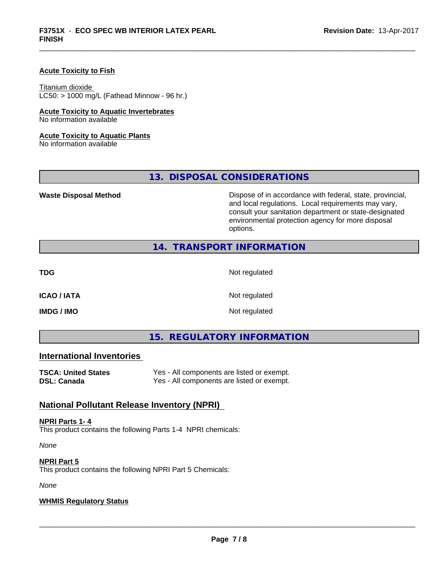#### **Acute Toxicity to Fish**

#### Titanium dioxide

 $LC50:$  > 1000 mg/L (Fathead Minnow - 96 hr.)

#### **Acute Toxicity to Aquatic Invertebrates**

No information available

#### **Acute Toxicity to Aquatic Plants**

No information available

#### **13. DISPOSAL CONSIDERATIONS**

**Waste Disposal Method Dispose of in accordance with federal, state, provincial,** and local regulations. Local requirements may vary, consult your sanitation department or state-designated environmental protection agency for more disposal options.

#### **14. TRANSPORT INFORMATION**

**TDG** Not regulated

**ICAO / IATA** Not regulated

**IMDG / IMO** Not regulated

#### **15. REGULATORY INFORMATION**

#### **International Inventories**

| TSCA: United States | Yes - All components are listed or exempt. |
|---------------------|--------------------------------------------|
| DSL: Canada         | Yes - All components are listed or exempt. |

#### **National Pollutant Release Inventory (NPRI)**

#### **NPRI Parts 1- 4**

This product contains the following Parts 1-4 NPRI chemicals:

*None*

#### **NPRI Part 5**

This product contains the following NPRI Part 5 Chemicals:

*None*

#### **WHMIS Regulatory Status**